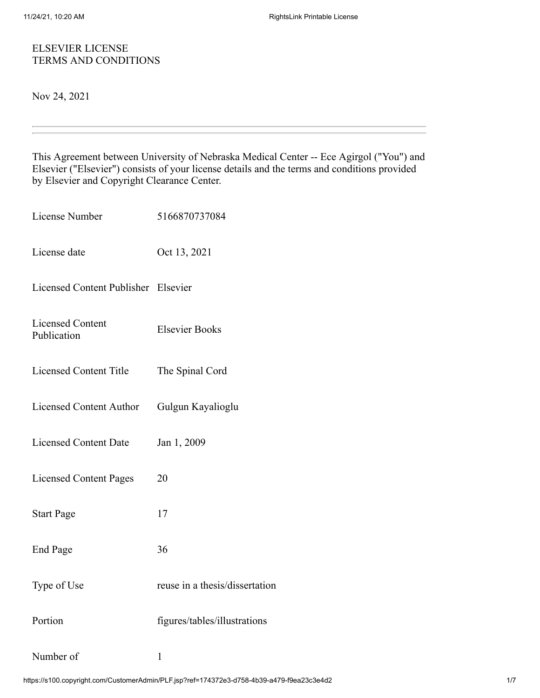### ELSEVIER LICENSE TERMS AND CONDITIONS

Nov 24, 2021

This Agreement between University of Nebraska Medical Center -- Ece Agirgol ("You") and Elsevier ("Elsevier") consists of your license details and the terms and conditions provided by Elsevier and Copyright Clearance Center.

| License Number                         | 5166870737084                  |
|----------------------------------------|--------------------------------|
| License date                           | Oct 13, 2021                   |
| Licensed Content Publisher Elsevier    |                                |
| <b>Licensed Content</b><br>Publication | <b>Elsevier Books</b>          |
| <b>Licensed Content Title</b>          | The Spinal Cord                |
| <b>Licensed Content Author</b>         | Gulgun Kayalioglu              |
| <b>Licensed Content Date</b>           | Jan 1, 2009                    |
| <b>Licensed Content Pages</b>          | 20                             |
| <b>Start Page</b>                      | 17                             |
| <b>End Page</b>                        | 36                             |
| Type of Use                            | reuse in a thesis/dissertation |
| Portion                                | figures/tables/illustrations   |
| Number of                              | $\mathbf{1}$                   |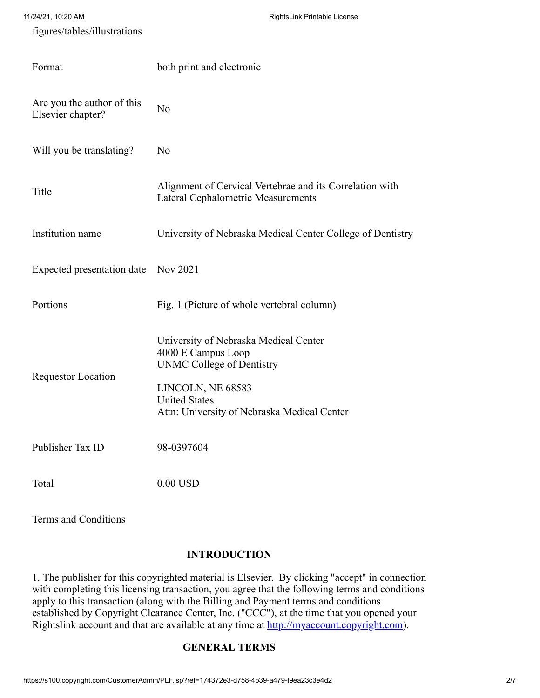| 11/24/21, 10:20 AM                              | RightsLink Printable License                                                                                                                                                                |
|-------------------------------------------------|---------------------------------------------------------------------------------------------------------------------------------------------------------------------------------------------|
| figures/tables/illustrations                    |                                                                                                                                                                                             |
| Format                                          | both print and electronic                                                                                                                                                                   |
| Are you the author of this<br>Elsevier chapter? | N <sub>o</sub>                                                                                                                                                                              |
| Will you be translating?                        | N <sub>o</sub>                                                                                                                                                                              |
| Title                                           | Alignment of Cervical Vertebrae and its Correlation with<br>Lateral Cephalometric Measurements                                                                                              |
| Institution name                                | University of Nebraska Medical Center College of Dentistry                                                                                                                                  |
| Expected presentation date                      | Nov 2021                                                                                                                                                                                    |
| Portions                                        | Fig. 1 (Picture of whole vertebral column)                                                                                                                                                  |
| <b>Requestor Location</b>                       | University of Nebraska Medical Center<br>4000 E Campus Loop<br><b>UNMC College of Dentistry</b><br>LINCOLN, NE 68583<br><b>United States</b><br>Attn: University of Nebraska Medical Center |
| Publisher Tax ID                                | 98-0397604                                                                                                                                                                                  |
| Total                                           | $0.00$ USD                                                                                                                                                                                  |

Terms and Conditions

## **INTRODUCTION**

1. The publisher for this copyrighted material is Elsevier. By clicking "accept" in connection with completing this licensing transaction, you agree that the following terms and conditions apply to this transaction (along with the Billing and Payment terms and conditions established by Copyright Clearance Center, Inc. ("CCC"), at the time that you opened your Rightslink account and that are available at any time at [http://myaccount.copyright.com](http://myaccount.copyright.com/)).

# **GENERAL TERMS**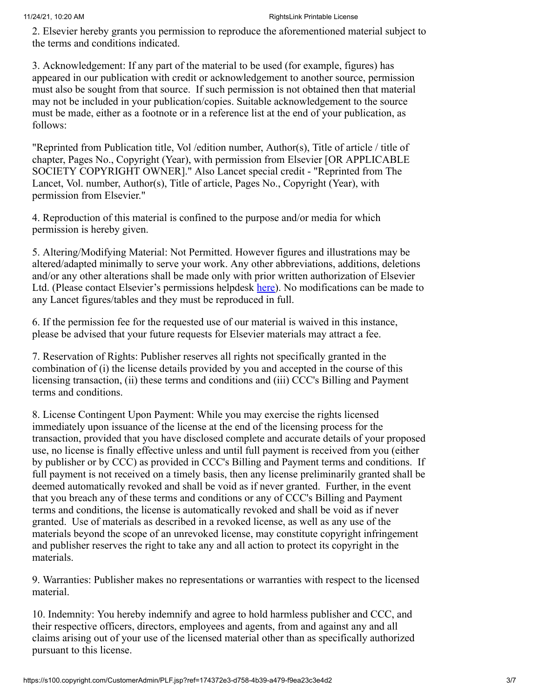2. Elsevier hereby grants you permission to reproduce the aforementioned material subject to the terms and conditions indicated.

3. Acknowledgement: If any part of the material to be used (for example, figures) has appeared in our publication with credit or acknowledgement to another source, permission must also be sought from that source. If such permission is not obtained then that material may not be included in your publication/copies. Suitable acknowledgement to the source must be made, either as a footnote or in a reference list at the end of your publication, as follows:

"Reprinted from Publication title, Vol /edition number, Author(s), Title of article / title of chapter, Pages No., Copyright (Year), with permission from Elsevier [OR APPLICABLE SOCIETY COPYRIGHT OWNER]." Also Lancet special credit - "Reprinted from The Lancet, Vol. number, Author(s), Title of article, Pages No., Copyright (Year), with permission from Elsevier."

4. Reproduction of this material is confined to the purpose and/or media for which permission is hereby given.

5. Altering/Modifying Material: Not Permitted. However figures and illustrations may be altered/adapted minimally to serve your work. Any other abbreviations, additions, deletions and/or any other alterations shall be made only with prior written authorization of Elsevier Ltd. (Please contact Elsevier's permissions helpdesk [here\)](https://service.elsevier.com/app/contact/supporthub/permissions-helpdesk/). No modifications can be made to any Lancet figures/tables and they must be reproduced in full.

6. If the permission fee for the requested use of our material is waived in this instance, please be advised that your future requests for Elsevier materials may attract a fee.

7. Reservation of Rights: Publisher reserves all rights not specifically granted in the combination of (i) the license details provided by you and accepted in the course of this licensing transaction, (ii) these terms and conditions and (iii) CCC's Billing and Payment terms and conditions.

8. License Contingent Upon Payment: While you may exercise the rights licensed immediately upon issuance of the license at the end of the licensing process for the transaction, provided that you have disclosed complete and accurate details of your proposed use, no license is finally effective unless and until full payment is received from you (either by publisher or by CCC) as provided in CCC's Billing and Payment terms and conditions. If full payment is not received on a timely basis, then any license preliminarily granted shall be deemed automatically revoked and shall be void as if never granted. Further, in the event that you breach any of these terms and conditions or any of CCC's Billing and Payment terms and conditions, the license is automatically revoked and shall be void as if never granted. Use of materials as described in a revoked license, as well as any use of the materials beyond the scope of an unrevoked license, may constitute copyright infringement and publisher reserves the right to take any and all action to protect its copyright in the materials.

9. Warranties: Publisher makes no representations or warranties with respect to the licensed material.

10. Indemnity: You hereby indemnify and agree to hold harmless publisher and CCC, and their respective officers, directors, employees and agents, from and against any and all claims arising out of your use of the licensed material other than as specifically authorized pursuant to this license.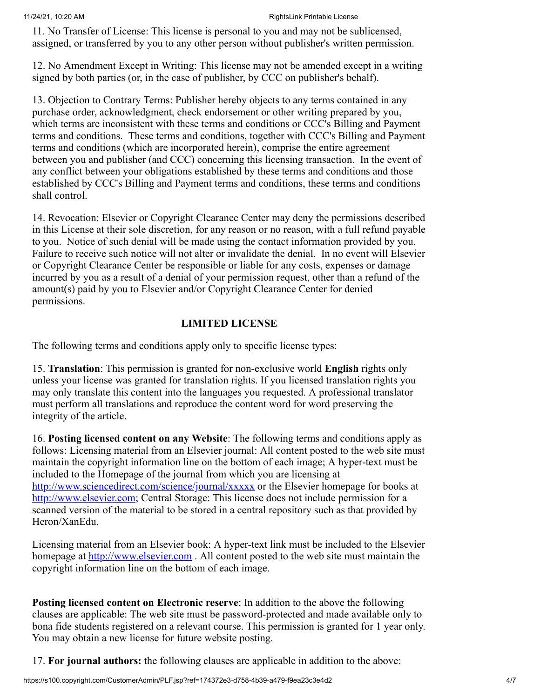11. No Transfer of License: This license is personal to you and may not be sublicensed, assigned, or transferred by you to any other person without publisher's written permission.

12. No Amendment Except in Writing: This license may not be amended except in a writing signed by both parties (or, in the case of publisher, by CCC on publisher's behalf).

13. Objection to Contrary Terms: Publisher hereby objects to any terms contained in any purchase order, acknowledgment, check endorsement or other writing prepared by you, which terms are inconsistent with these terms and conditions or CCC's Billing and Payment terms and conditions. These terms and conditions, together with CCC's Billing and Payment terms and conditions (which are incorporated herein), comprise the entire agreement between you and publisher (and CCC) concerning this licensing transaction. In the event of any conflict between your obligations established by these terms and conditions and those established by CCC's Billing and Payment terms and conditions, these terms and conditions shall control.

14. Revocation: Elsevier or Copyright Clearance Center may deny the permissions described in this License at their sole discretion, for any reason or no reason, with a full refund payable to you. Notice of such denial will be made using the contact information provided by you. Failure to receive such notice will not alter or invalidate the denial. In no event will Elsevier or Copyright Clearance Center be responsible or liable for any costs, expenses or damage incurred by you as a result of a denial of your permission request, other than a refund of the amount(s) paid by you to Elsevier and/or Copyright Clearance Center for denied permissions.

### **LIMITED LICENSE**

The following terms and conditions apply only to specific license types:

15. **Translation**: This permission is granted for non-exclusive world **English** rights only unless your license was granted for translation rights. If you licensed translation rights you may only translate this content into the languages you requested. A professional translator must perform all translations and reproduce the content word for word preserving the integrity of the article.

16. **Posting licensed content on any Website**: The following terms and conditions apply as follows: Licensing material from an Elsevier journal: All content posted to the web site must maintain the copyright information line on the bottom of each image; A hyper-text must be included to the Homepage of the journal from which you are licensing at <http://www.sciencedirect.com/science/journal/xxxxx> or the Elsevier homepage for books at [http://www.elsevier.com](http://www.elsevier.com/); Central Storage: This license does not include permission for a scanned version of the material to be stored in a central repository such as that provided by Heron/XanEdu.

Licensing material from an Elsevier book: A hyper-text link must be included to the Elsevier homepage at [http://www.elsevier.com](http://www.elsevier.com/) . All content posted to the web site must maintain the copyright information line on the bottom of each image.

**Posting licensed content on Electronic reserve**: In addition to the above the following clauses are applicable: The web site must be password-protected and made available only to bona fide students registered on a relevant course. This permission is granted for 1 year only. You may obtain a new license for future website posting.

17. **For journal authors:** the following clauses are applicable in addition to the above: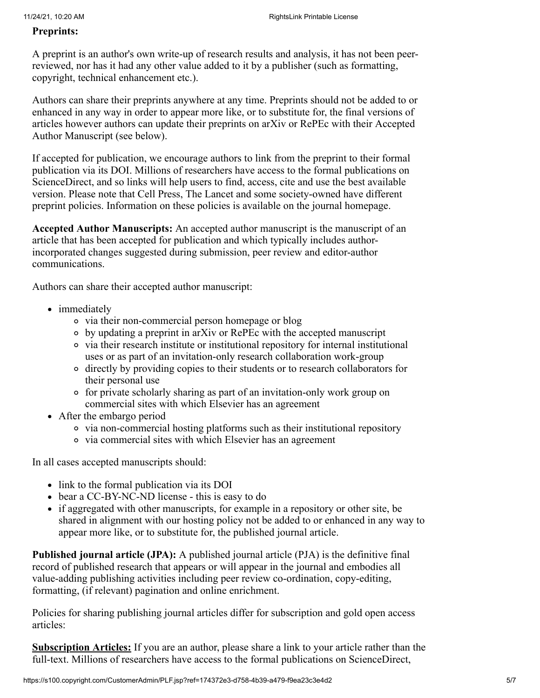#### **Preprints:**

A preprint is an author's own write-up of research results and analysis, it has not been peerreviewed, nor has it had any other value added to it by a publisher (such as formatting, copyright, technical enhancement etc.).

Authors can share their preprints anywhere at any time. Preprints should not be added to or enhanced in any way in order to appear more like, or to substitute for, the final versions of articles however authors can update their preprints on arXiv or RePEc with their Accepted Author Manuscript (see below).

If accepted for publication, we encourage authors to link from the preprint to their formal publication via its DOI. Millions of researchers have access to the formal publications on ScienceDirect, and so links will help users to find, access, cite and use the best available version. Please note that Cell Press, The Lancet and some society-owned have different preprint policies. Information on these policies is available on the journal homepage.

**Accepted Author Manuscripts:** An accepted author manuscript is the manuscript of an article that has been accepted for publication and which typically includes authorincorporated changes suggested during submission, peer review and editor-author communications.

Authors can share their accepted author manuscript:

- immediately
	- via their non-commercial person homepage or blog
	- by updating a preprint in arXiv or RePEc with the accepted manuscript
	- via their research institute or institutional repository for internal institutional uses or as part of an invitation-only research collaboration work-group
	- directly by providing copies to their students or to research collaborators for their personal use
	- for private scholarly sharing as part of an invitation-only work group on commercial sites with which Elsevier has an agreement
- After the embargo period
	- via non-commercial hosting platforms such as their institutional repository
	- via commercial sites with which Elsevier has an agreement

In all cases accepted manuscripts should:

- link to the formal publication via its DOI
- bear a CC-BY-NC-ND license this is easy to do
- if aggregated with other manuscripts, for example in a repository or other site, be shared in alignment with our hosting policy not be added to or enhanced in any way to appear more like, or to substitute for, the published journal article.

**Published journal article (JPA):** A published journal article (PJA) is the definitive final record of published research that appears or will appear in the journal and embodies all value-adding publishing activities including peer review co-ordination, copy-editing, formatting, (if relevant) pagination and online enrichment.

Policies for sharing publishing journal articles differ for subscription and gold open access articles:

**Subscription Articles:** If you are an author, please share a link to your article rather than the full-text. Millions of researchers have access to the formal publications on ScienceDirect,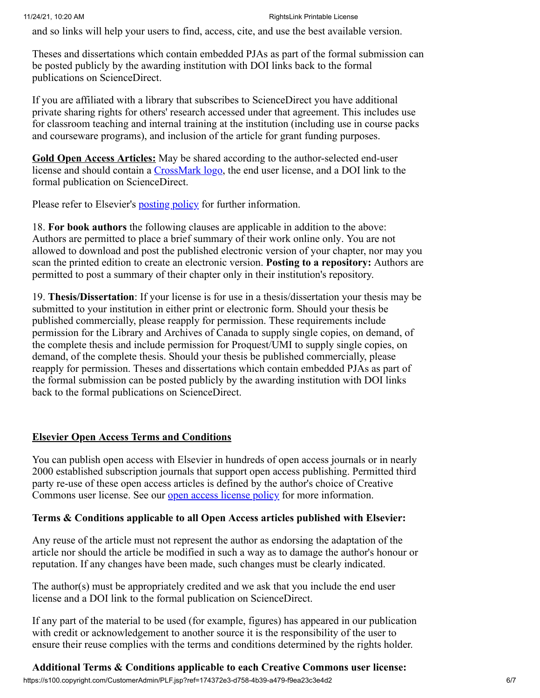and so links will help your users to find, access, cite, and use the best available version.

Theses and dissertations which contain embedded PJAs as part of the formal submission can be posted publicly by the awarding institution with DOI links back to the formal publications on ScienceDirect.

If you are affiliated with a library that subscribes to ScienceDirect you have additional private sharing rights for others' research accessed under that agreement. This includes use for classroom teaching and internal training at the institution (including use in course packs and courseware programs), and inclusion of the article for grant funding purposes.

**Gold Open Access Articles:** May be shared according to the author-selected end-user license and should contain a [CrossMark logo](http://www.crossref.org/crossmark/index.html), the end user license, and a DOI link to the formal publication on ScienceDirect.

Please refer to Elsevier's **posting policy** for further information.

18. **For book authors** the following clauses are applicable in addition to the above: Authors are permitted to place a brief summary of their work online only. You are not allowed to download and post the published electronic version of your chapter, nor may you scan the printed edition to create an electronic version. **Posting to a repository:** Authors are permitted to post a summary of their chapter only in their institution's repository.

19. **Thesis/Dissertation**: If your license is for use in a thesis/dissertation your thesis may be submitted to your institution in either print or electronic form. Should your thesis be published commercially, please reapply for permission. These requirements include permission for the Library and Archives of Canada to supply single copies, on demand, of the complete thesis and include permission for Proquest/UMI to supply single copies, on demand, of the complete thesis. Should your thesis be published commercially, please reapply for permission. Theses and dissertations which contain embedded PJAs as part of the formal submission can be posted publicly by the awarding institution with DOI links back to the formal publications on ScienceDirect.

#### **Elsevier Open Access Terms and Conditions**

You can publish open access with Elsevier in hundreds of open access journals or in nearly 2000 established subscription journals that support open access publishing. Permitted third party re-use of these open access articles is defined by the author's choice of Creative Commons user license. See our <u>open access license policy</u> for more information.

#### **Terms & Conditions applicable to all Open Access articles published with Elsevier:**

Any reuse of the article must not represent the author as endorsing the adaptation of the article nor should the article be modified in such a way as to damage the author's honour or reputation. If any changes have been made, such changes must be clearly indicated.

The author(s) must be appropriately credited and we ask that you include the end user license and a DOI link to the formal publication on ScienceDirect.

If any part of the material to be used (for example, figures) has appeared in our publication with credit or acknowledgement to another source it is the responsibility of the user to ensure their reuse complies with the terms and conditions determined by the rights holder.

## **Additional Terms & Conditions applicable to each Creative Commons user license:**

https://s100.copyright.com/CustomerAdmin/PLF.jsp?ref=174372e3-d758-4b39-a479-f9ea23c3e4d2 6/7